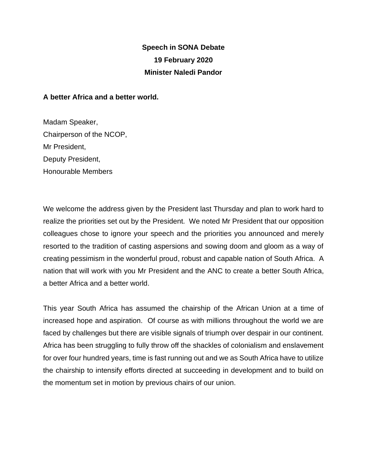## **Speech in SONA Debate 19 February 2020 Minister Naledi Pandor**

## **A better Africa and a better world.**

Madam Speaker, Chairperson of the NCOP, Mr President, Deputy President, Honourable Members

We welcome the address given by the President last Thursday and plan to work hard to realize the priorities set out by the President. We noted Mr President that our opposition colleagues chose to ignore your speech and the priorities you announced and merely resorted to the tradition of casting aspersions and sowing doom and gloom as a way of creating pessimism in the wonderful proud, robust and capable nation of South Africa. A nation that will work with you Mr President and the ANC to create a better South Africa, a better Africa and a better world.

This year South Africa has assumed the chairship of the African Union at a time of increased hope and aspiration. Of course as with millions throughout the world we are faced by challenges but there are visible signals of triumph over despair in our continent. Africa has been struggling to fully throw off the shackles of colonialism and enslavement for over four hundred years, time is fast running out and we as South Africa have to utilize the chairship to intensify efforts directed at succeeding in development and to build on the momentum set in motion by previous chairs of our union.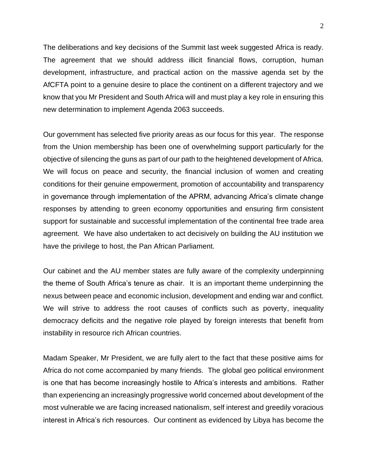The deliberations and key decisions of the Summit last week suggested Africa is ready. The agreement that we should address illicit financial flows, corruption, human development, infrastructure, and practical action on the massive agenda set by the AfCFTA point to a genuine desire to place the continent on a different trajectory and we know that you Mr President and South Africa will and must play a key role in ensuring this new determination to implement Agenda 2063 succeeds.

Our government has selected five priority areas as our focus for this year. The response from the Union membership has been one of overwhelming support particularly for the objective of silencing the guns as part of our path to the heightened development of Africa. We will focus on peace and security, the financial inclusion of women and creating conditions for their genuine empowerment, promotion of accountability and transparency in governance through implementation of the APRM, advancing Africa's climate change responses by attending to green economy opportunities and ensuring firm consistent support for sustainable and successful implementation of the continental free trade area agreement. We have also undertaken to act decisively on building the AU institution we have the privilege to host, the Pan African Parliament.

Our cabinet and the AU member states are fully aware of the complexity underpinning the theme of South Africa's tenure as chair. It is an important theme underpinning the nexus between peace and economic inclusion, development and ending war and conflict. We will strive to address the root causes of conflicts such as poverty, inequality democracy deficits and the negative role played by foreign interests that benefit from instability in resource rich African countries.

Madam Speaker, Mr President, we are fully alert to the fact that these positive aims for Africa do not come accompanied by many friends. The global geo political environment is one that has become increasingly hostile to Africa's interests and ambitions. Rather than experiencing an increasingly progressive world concerned about development of the most vulnerable we are facing increased nationalism, self interest and greedily voracious interest in Africa's rich resources. Our continent as evidenced by Libya has become the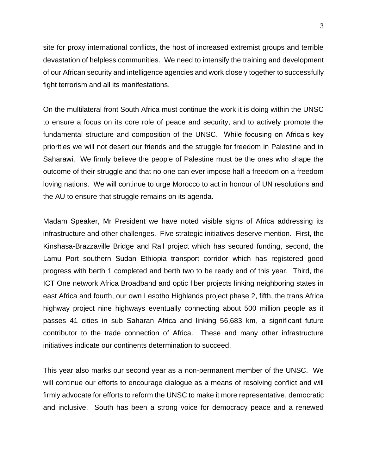site for proxy international conflicts, the host of increased extremist groups and terrible devastation of helpless communities. We need to intensify the training and development of our African security and intelligence agencies and work closely together to successfully fight terrorism and all its manifestations.

On the multilateral front South Africa must continue the work it is doing within the UNSC to ensure a focus on its core role of peace and security, and to actively promote the fundamental structure and composition of the UNSC. While focusing on Africa's key priorities we will not desert our friends and the struggle for freedom in Palestine and in Saharawi. We firmly believe the people of Palestine must be the ones who shape the outcome of their struggle and that no one can ever impose half a freedom on a freedom loving nations. We will continue to urge Morocco to act in honour of UN resolutions and the AU to ensure that struggle remains on its agenda.

Madam Speaker, Mr President we have noted visible signs of Africa addressing its infrastructure and other challenges. Five strategic initiatives deserve mention. First, the Kinshasa-Brazzaville Bridge and Rail project which has secured funding, second, the Lamu Port southern Sudan Ethiopia transport corridor which has registered good progress with berth 1 completed and berth two to be ready end of this year. Third, the ICT One network Africa Broadband and optic fiber projects linking neighboring states in east Africa and fourth, our own Lesotho Highlands project phase 2, fifth, the trans Africa highway project nine highways eventually connecting about 500 million people as it passes 41 cities in sub Saharan Africa and linking 56,683 km, a significant future contributor to the trade connection of Africa. These and many other infrastructure initiatives indicate our continents determination to succeed.

This year also marks our second year as a non-permanent member of the UNSC. We will continue our efforts to encourage dialogue as a means of resolving conflict and will firmly advocate for efforts to reform the UNSC to make it more representative, democratic and inclusive. South has been a strong voice for democracy peace and a renewed